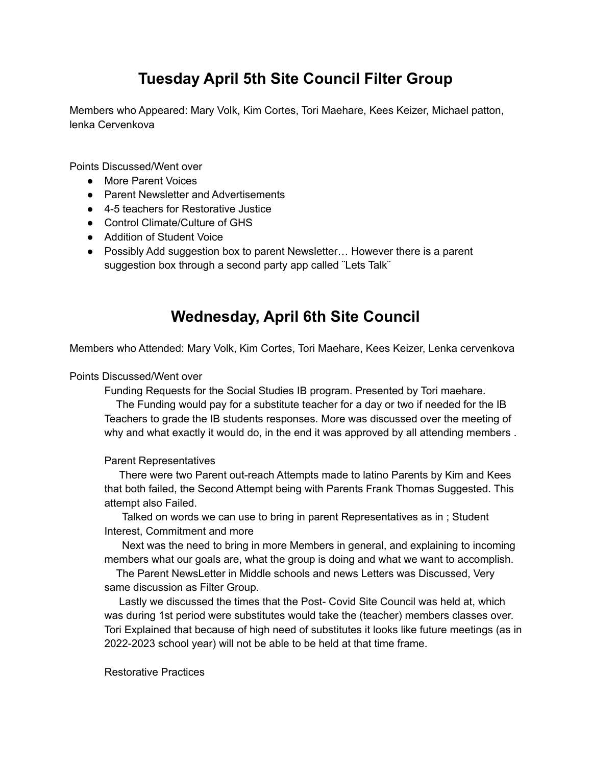## **Tuesday April 5th Site Council Filter Group**

Members who Appeared: Mary Volk, Kim Cortes, Tori Maehare, Kees Keizer, Michael patton, lenka Cervenkova

Points Discussed/Went over

- More Parent Voices
- Parent Newsletter and Advertisements
- 4-5 teachers for Restorative Justice
- Control Climate/Culture of GHS
- Addition of Student Voice
- Possibly Add suggestion box to parent Newsletter... However there is a parent suggestion box through a second party app called ¨Lets Talk¨

## **Wednesday, April 6th Site Council**

Members who Attended: Mary Volk, Kim Cortes, Tori Maehare, Kees Keizer, Lenka cervenkova

Points Discussed/Went over

Funding Requests for the Social Studies IB program. Presented by Tori maehare.

The Funding would pay for a substitute teacher for a day or two if needed for the IB Teachers to grade the IB students responses. More was discussed over the meeting of why and what exactly it would do, in the end it was approved by all attending members.

## Parent Representatives

There were two Parent out-reach Attempts made to latino Parents by Kim and Kees that both failed, the Second Attempt being with Parents Frank Thomas Suggested. This attempt also Failed.

Talked on words we can use to bring in parent Representatives as in ; Student Interest, Commitment and more

Next was the need to bring in more Members in general, and explaining to incoming members what our goals are, what the group is doing and what we want to accomplish.

The Parent NewsLetter in Middle schools and news Letters was Discussed, Very same discussion as Filter Group.

Lastly we discussed the times that the Post- Covid Site Council was held at, which was during 1st period were substitutes would take the (teacher) members classes over. Tori Explained that because of high need of substitutes it looks like future meetings (as in 2022-2023 school year) will not be able to be held at that time frame.

Restorative Practices